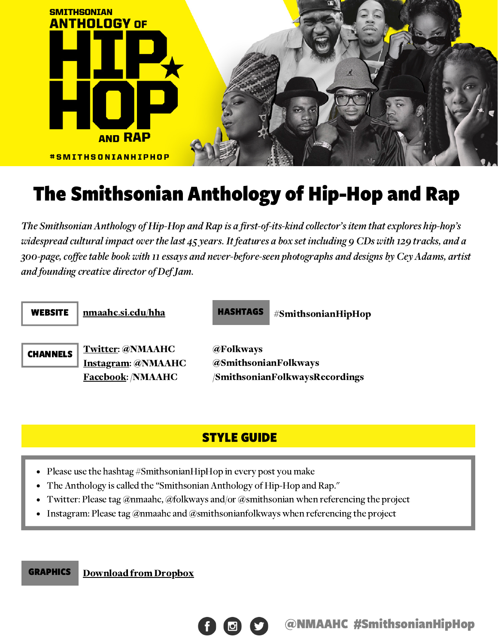

# The Smithsonian Anthology of Hip-Hop and Rap

The Smithsonian Anthology of Hip-Hop and Rap is a first-of-its-kind collector's item that explores hip-hop's widespread cultural impact over the last 45 years. It features a box set including 9 CDs with 129 tracks, and a 300-page, coffee table book with 11 essays and never-before-seen photographs and designs by Cey Adams, artist and founding creative director of Def Jam.

| <b>WEBSITE</b>  | nmaahc.si.edu/hha                                                                | <b>HASHTAGS</b><br>#SmithsonianHipHop                                      |
|-----------------|----------------------------------------------------------------------------------|----------------------------------------------------------------------------|
| <b>CHANNELS</b> | <b>Twitter: @NMAAHC</b><br><b>Instagram: @NMAAHC</b><br><b>Facebook: /NMAAHC</b> | <b>@Folkways</b><br>@SmithsonianFolkways<br>/SmithsonianFolkwaysRecordings |

## STYLE GUIDE

- Please use the hashtag #SmithsonianHipHop in every post you make
- The Anthology is called the "Smithsonian Anthology of Hip-Hop and Rap."
- Twitter: Please tag @nmaahc, @folkways and/or @smithsonian when referencing the project
- Instagram: Please tag @nmaahc and @smithsonianfolkways when referencing the project

**GRAPHICS** [Download](https://www.dropbox.com/sh/j03u30hwam2hvpi/AACgq-90PaX_nL3-AEf268wPa?dl=0) from Dropbox

@NMAAHC #SmithsonianHipHop